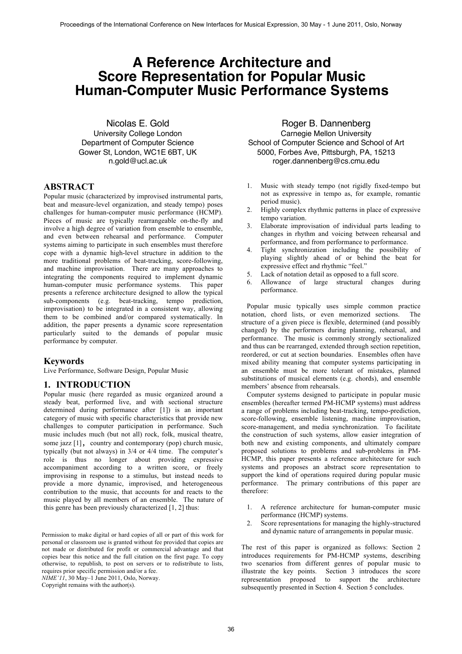# **A Reference Architecture and Score Representation for Popular Music Human-Computer Music Performance Systems**

Nicolas E. Gold University College London Department of Computer Science Gower St, London, WC1E 6BT, UK n.gold@ucl.ac.uk

# **ABSTRACT**

Popular music (characterized by improvised instrumental parts, beat and measure-level organization, and steady tempo) poses challenges for human-computer music performance (HCMP). Pieces of music are typically rearrangeable on-the-fly and involve a high degree of variation from ensemble to ensemble, and even between rehearsal and performance. Computer systems aiming to participate in such ensembles must therefore cope with a dynamic high-level structure in addition to the more traditional problems of beat-tracking, score-following, and machine improvisation. There are many approaches to integrating the components required to implement dynamic human-computer music performance systems. This paper presents a reference architecture designed to allow the typical sub-components (e.g. beat-tracking, tempo prediction, improvisation) to be integrated in a consistent way, allowing them to be combined and/or compared systematically. In addition, the paper presents a dynamic score representation particularly suited to the demands of popular music performance by computer.

# **Keywords**

Live Performance, Software Design, Popular Music

# **1. INTRODUCTION**

Popular music (here regarded as music organized around a steady beat, performed live, and with sectional structure determined during performance after [1]) is an important category of music with specific characteristics that provide new challenges to computer participation in performance. Such music includes much (but not all) rock, folk, musical theatre, some jazz [1], country and contemporary (pop) church music, typically (but not always) in 3/4 or 4/4 time. The computer's role is thus no longer about providing expressive accompaniment according to a written score, or freely improvising in response to a stimulus, but instead needs to provide a more dynamic, improvised, and heterogeneous contribution to the music, that accounts for and reacts to the music played by all members of an ensemble. The nature of this genre has been previously characterized [1, 2] thus:

*NIME'11*, 30 May–1 June 2011, Oslo, Norway.

Copyright remains with the author(s).

Roger B. Dannenberg Carnegie Mellon University School of Computer Science and School of Art 5000, Forbes Ave, Pittsburgh, PA, 15213 roger.dannenberg@cs.cmu.edu

- 1. Music with steady tempo (not rigidly fixed-tempo but not as expressive in tempo as, for example, romantic period music).
- 2. Highly complex rhythmic patterns in place of expressive tempo variation.
- 3. Elaborate improvisation of individual parts leading to changes in rhythm and voicing between rehearsal and performance, and from performance to performance.
- 4. Tight synchronization including the possibility of playing slightly ahead of or behind the beat for expressive effect and rhythmic "feel."
- 5. Lack of notation detail as opposed to a full score.
- 6. Allowance of large structural changes during performance.

 Popular music typically uses simple common practice notation, chord lists, or even memorized sections. The structure of a given piece is flexible, determined (and possibly changed) by the performers during planning, rehearsal, and performance. The music is commonly strongly sectionalized and thus can be rearranged, extended through section repetition, reordered, or cut at section boundaries. Ensembles often have mixed ability meaning that computer systems participating in an ensemble must be more tolerant of mistakes, planned substitutions of musical elements (e.g. chords), and ensemble members' absence from rehearsals.

Computer systems designed to participate in popular music ensembles (hereafter termed PM-HCMP systems) must address a range of problems including beat-tracking, tempo-prediction, score-following, ensemble listening, machine improvisation, score-management, and media synchronization. To facilitate the construction of such systems, allow easier integration of both new and existing components, and ultimately compare proposed solutions to problems and sub-problems in PM-HCMP, this paper presents a reference architecture for such systems and proposes an abstract score representation to support the kind of operations required during popular music performance. The primary contributions of this paper are therefore:

- 1. A reference architecture for human-computer music performance (HCMP) systems.
- 2. Score representations for managing the highly-structured and dynamic nature of arrangements in popular music.

The rest of this paper is organized as follows: Section 2 introduces requirements for PM-HCMP systems, describing two scenarios from different genres of popular music to illustrate the key points. Section 3 introduces the score representation proposed to support the architecture subsequently presented in Section 4. Section 5 concludes.

Permission to make digital or hard copies of all or part of this work for personal or classroom use is granted without fee provided that copies are not made or distributed for profit or commercial advantage and that copies bear this notice and the full citation on the first page. To copy otherwise, to republish, to post on servers or to redistribute to lists, requires prior specific permission and/or a fee.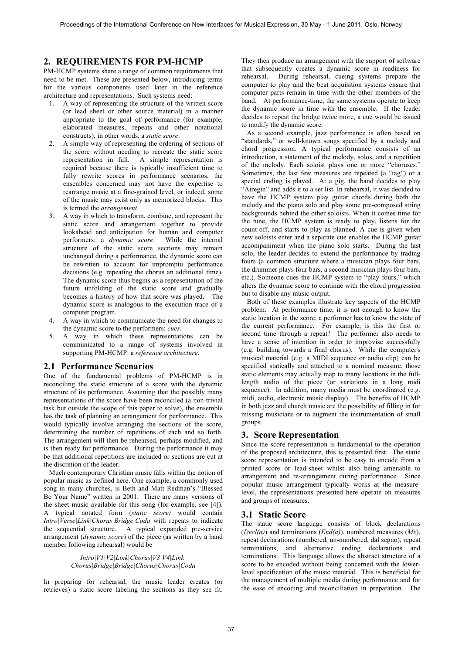# **2. REQUIREMENTS FOR PM-HCMP**

PM-HCMP systems share a range of common requirements that need to be met. These are presented below, introducing terms for the various components used later in the reference architecture and representations. Such systems need:

- 1. A way of representing the structure of the written score (or lead sheet or other source material) in a manner appropriate to the goal of performance (for example, elaborated measures, repeats and other notational constructs); in other words, a *static score*.
- 2. A simple way of representing the ordering of sections of the score without needing to recreate the static score representation in full. A simple representation is required because there is typically insufficient time to fully rewrite scores in performance scenarios, the ensembles concerned may not have the expertise to rearrange music at a fine-grained level, or indeed, some of the music may exist only as memorized blocks. This is termed the *arrangement*.
- 3. A way in which to transform, combine, and represent the static score and arrangement together to provide lookahead and anticipation for human and computer performers: a *dynamic score*. While the internal structure of the static score sections may remain unchanged during a performance, the dynamic score can be rewritten to account for impromptu performance decisions (e.g. repeating the chorus an additional time). The dynamic score thus begins as a representation of the future unfolding of the static score and gradually becomes a history of how that score was played. The dynamic score is analogous to the execution trace of a computer program.
- 4. A way in which to communicate the need for changes to the dynamic score to the performers: *cues*.
- 5. A way in which these representations can be communicated to a range of systems involved in supporting PM-HCMP: a *reference architecture*.

# **2.1 Performance Scenarios**

One of the fundamental problems of PM-HCMP is in reconciling the static structure of a score with the dynamic structure of its performance. Assuming that the possibly many representations of the score have been reconciled (a non-trivial task but outside the scope of this paper to solve), the ensemble has the task of planning an arrangement for performance. This would typically involve arranging the sections of the score, determining the number of repetitions of each and so forth. The arrangement will then be rehearsed, perhaps modified, and is then ready for performance. During the performance it may be that additional repetitions are included or sections are cut at the discretion of the leader.

Much contemporary Christian music falls within the notion of popular music as defined here. One example, a commonly used song in many churches, is Beth and Matt Redman's "Blessed Be Your Name" written in 2001. There are many versions of the sheet music available for this song (for example, see [4]). A typical notated form (*static score)* would contain *Intro|Verse|Link|Chorus|Bridge|Coda* with repeats to indicate the sequential structure. A typical expanded pre-service arrangement (*dynamic score*) of the piece (as written by a band member following rehearsal) would be

## *Intro|V1|V2|Link|Chorus|V3|V4|Link| Chorus|Bridge|Bridge|Chorus|Chorus|Coda*

In preparing for rehearsal, the music leader creates (or retrieves) a static score labeling the sections as they see fit.

They then produce an arrangement with the support of software that subsequently creates a dynamic score in readiness for rehearsal. During rehearsal, cueing systems prepare the computer to play and the beat acquisition systems ensure that computer parts remain in time with the other members of the band. At performance-time, the same systems operate to keep the dynamic score in time with the ensemble. If the leader decides to repeat the bridge twice more, a cue would be issued to modify the dynamic score.

As a second example, jazz performance is often based on "standards," or well-known songs specified by a melody and chord progression. A typical performance consists of an introduction, a statement of the melody, solos, and a repetition of the melody. Each soloist plays one or more "choruses." Sometimes, the last few measures are repeated (a "tag") or a special ending is played. At a gig, the band decides to play "Airegin" and adds it to a set list. In rehearsal, it was decided to have the HCMP system play guitar chords during both the melody and the piano solo and play some pre-composed string backgrounds behind the other soloists. When it comes time for the tune, the HCMP system is ready to play, listens for the count-off, and starts to play as planned. A cue is given when new soloists enter and a separate cue enables the HCMP guitar accompaniment when the piano solo starts. During the last solo, the leader decides to extend the performance by trading fours (a common structure where a musician plays four bars, the drummer plays four bars, a second musician plays four bars, etc.). Someone cues the HCMP system to "play fours," which alters the dynamic score to continue with the chord progression but to disable any music output.

Both of these examples illustrate key aspects of the HCMP problem. At performance time, it is not enough to know the static location in the score; a performer has to know the state of the current performance. For example, is this the first or second time through a repeat? The performer also needs to have a sense of intention in order to improvise successfully (e.g. building towards a final chorus). While the computer's musical material (e.g. a MIDI sequence or audio clip) can be specified statically and attached to a nominal measure, those static elements may actually map to many locations in the fulllength audio of the piece (or variations in a long midi sequence). In addition, many media must be coordinated (e.g. midi, audio, electronic music display). The benefits of HCMP in both jazz and church music are the possibility of filling in for missing musicians or to augment the instrumentation of small groups.

#### **3. Score Representation**

Since the score representation is fundamental to the operation of the proposed architecture, this is presented first. The static score representation is intended to be easy to encode from a printed score or lead-sheet whilst also being amenable to arrangement and re-arrangement during performance. Since popular music arrangement typically works at the measurelevel, the representations presented here operate on measures and groups of measures.

# **3.1 Static Score**

The static score language consists of block declarations (*Decl(a)*) and terminations (*End(a)*), numbered measures (*Mx*), repeat declarations (numbered, un-numbered, dal segno), repeat terminations, and alternative ending declarations and terminations. This language allows the abstract structure of a score to be encoded without being concerned with the lowerlevel specification of the music material. This is beneficial for the management of multiple media during performance and for the ease of encoding and reconciliation in preparation. The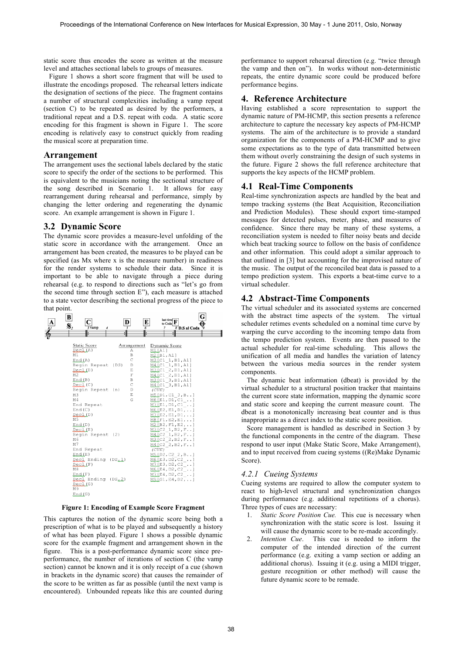static score thus encodes the score as written at the measure level and attaches sectional labels to groups of measures.

Figure 1 shows a short score fragment that will be used to illustrate the encodings proposed. The rehearsal letters indicate the designation of sections of the piece. The fragment contains a number of structural complexities including a vamp repeat (section C) to be repeated as desired by the performers, a traditional repeat and a D.S. repeat with coda. A static score encoding for this fragment is shown in Figure 1. The score encoding is relatively easy to construct quickly from reading the musical score at preparation time.

#### **Arrangement**

The arrangement uses the sectional labels declared by the static score to specify the order of the sections to be performed. This is equivalent to the musicians noting the sectional structure of the song described in Scenario 1. It allows for easy rearrangement during rehearsal and performance, simply by changing the letter ordering and regenerating the dynamic score. An example arrangement is shown in Figure 1.

#### **3.2 Dynamic Score**

The dynamic score provides a measure-level unfolding of the static score in accordance with the arrangement. Once an arrangement has been created, the measures to be played can be specified (as Mx where x is the measure number) in readiness for the render systems to schedule their data. Since it is important to be able to navigate through a piece during rehearsal (e.g. to respond to directions such as "let's go from the second time through section E"), each measure is attached to a state vector describing the sectional progress of the piece to that point.



**Figure 1: Encoding of Example Score Fragment**

This captures the notion of the dynamic score being both a prescription of what is to be played and subsequently a history of what has been played. Figure 1 shows a possible dynamic score for the example fragment and arrangement shown in the figure. This is a post-performance dynamic score since preperformance, the number of iterations of section C (the vamp section) cannot be known and it is only receipt of a cue (shown in brackets in the dynamic score) that causes the remainder of the score to be written as far as possible (until the next vamp is encountered). Unbounded repeats like this are counted during

performance to support rehearsal direction (e.g. "twice through the vamp and then on"). In works without non-deterministic repeats, the entire dynamic score could be produced before performance begins.

#### **4. Reference Architecture**

Having established a score representation to support the dynamic nature of PM-HCMP, this section presents a reference architecture to capture the necessary key aspects of PM-HCMP systems. The aim of the architecture is to provide a standard organization for the components of a PM-HCMP and to give some expectations as to the type of data transmitted between them without overly constraining the design of such systems in the future. Figure 2 shows the full reference architecture that supports the key aspects of the HCMP problem.

#### **4.1 Real-Time Components**

Real-time synchronization aspects are handled by the beat and tempo tracking systems (the Beat Acquisition, Reconciliation and Prediction Modules). These should export time-stamped messages for detected pulses, meter, phase, and measures of confidence. Since there may be many of these systems, a reconciliation system is needed to filter noisy beats and decide which beat tracking source to follow on the basis of confidence and other information. This could adopt a similar approach to that outlined in [3] but accounting for the improvised nature of the music. The output of the reconciled beat data is passed to a tempo prediction system. This exports a beat-time curve to a virtual scheduler.

#### **4.2 Abstract-Time Components**

The virtual scheduler and its associated systems are concerned with the abstract time aspects of the system. The virtual scheduler retimes events scheduled on a nominal time curve by warping the curve according to the incoming tempo data from the tempo prediction system. Events are then passed to the actual scheduler for real-time scheduling. This allows the unification of all media and handles the variation of latency between the various media sources in the render system components.

The dynamic beat information (dbeat) is provided by the virtual scheduler to a structural position tracker that maintains the current score state information, mapping the dynamic score and static score and keeping the current measure count. The dbeat is a monotonically increasing beat counter and is thus inappropriate as a direct index to the static score position.

Score management is handled as described in Section 3 by the functional components in the centre of the diagram. These respond to user input (Make Static Score, Make Arrangement), and to input received from cueing systems ((Re)Make Dynamic Score).

# *4.2.1 Cueing Systems*

Cueing systems are required to allow the computer system to react to high-level structural and synchronization changes during performance (e.g. additional repetitions of a chorus). Three types of cues are necessary:

- 1. *Static Score Position Cue.* This cue is necessary when synchronization with the static score is lost. Issuing it will cause the dynamic score to be re-made accordingly.
- 2. *Intention Cue*. This cue is needed to inform the computer of the intended direction of the current performance (e.g. exiting a vamp section or adding an additional chorus). Issuing it (e.g. using a MIDI trigger, gesture recognition or other method) will cause the future dynamic score to be remade.